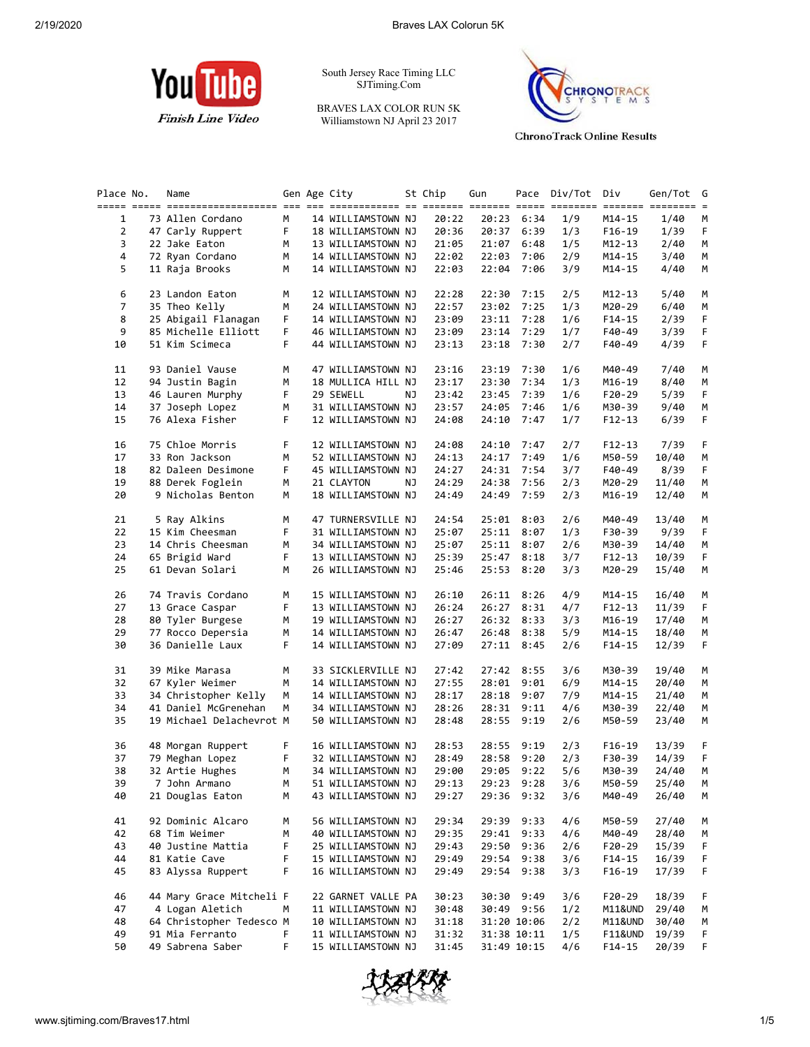

South Jersey Race Timing LLC SJTiming.Com

BRAVES LAX COLOR RUN 5K Williamstown NJ April 23 2017



**ChronoTrack Online Results** 

| Place No.      | Name                     |    | Gen Age City       |    | St Chip | Gun   |             | Pace Div/Tot | Div      | Gen/Tot | G |
|----------------|--------------------------|----|--------------------|----|---------|-------|-------------|--------------|----------|---------|---|
| 1              | 73 Allen Cordano         | М  | 14 WILLIAMSTOWN NJ |    | 20:22   |       | 20:23 6:34  | 1/9          | M14-15   | 1/40    |   |
| $\overline{2}$ | 47 Carly Ruppert         | F. | 18 WILLIAMSTOWN NJ |    | 20:36   |       | 20:37 6:39  | 1/3          | F16-19   | 1/39    |   |
| 3              | 22 Jake Eaton            | М  | 13 WILLIAMSTOWN NJ |    | 21:05   | 21:07 | 6:48        | 1/5          | M12-13   | 2/40    |   |
|                |                          |    |                    |    |         |       |             |              |          |         |   |
| 4              | 72 Ryan Cordano          | м  | 14 WILLIAMSTOWN NJ |    | 22:02   | 22:03 | 7:06        | 2/9          | M14-15   | 3/40    |   |
| 5              | 11 Raja Brooks           | М  | 14 WILLIAMSTOWN NJ |    | 22:03   | 22:04 | 7:06        | 3/9          | M14-15   | 4/40    |   |
| 6              | 23 Landon Eaton          | М  | 12 WILLIAMSTOWN NJ |    | 22:28   | 22:30 | 7:15        | 2/5          | M12-13   | 5/40    |   |
| 7              | 35 Theo Kelly            | м  | 24 WILLIAMSTOWN NJ |    | 22:57   | 23:02 | 7:25        | 1/3          | M20-29   | 6/40    |   |
| 8              | 25 Abigail Flanagan      | F  | 14 WILLIAMSTOWN NJ |    | 23:09   | 23:11 | 7:28        | 1/6          | F14-15   | 2/39    |   |
| 9              | 85 Michelle Elliott      | F  | 46 WILLIAMSTOWN NJ |    | 23:09   | 23:14 | 7:29        | 1/7          | F40-49   | 3/39    |   |
| 10             | 51 Kim Scimeca           | F. | 44 WILLIAMSTOWN NJ |    | 23:13   | 23:18 | 7:30        | 2/7          | F40-49   | 4/39    |   |
| 11             | 93 Daniel Vause          | М  | 47 WILLIAMSTOWN NJ |    | 23:16   | 23:19 | 7:30        | 1/6          | M40-49   | 7/40    |   |
| 12             | 94 Justin Bagin          | М  | 18 MULLICA HILL NJ |    | 23:17   | 23:30 | 7:34        | 1/3          | M16-19   | 8/40    |   |
| 13             | 46 Lauren Murphy         | F  | 29 SEWELL          | ΝJ | 23:42   | 23:45 | 7:39        | 1/6          | F20-29   | 5/39    |   |
| 14             |                          |    |                    |    |         |       |             |              |          |         |   |
|                | 37 Joseph Lopez          | м  | 31 WILLIAMSTOWN NJ |    | 23:57   | 24:05 | 7:46        | 1/6          | M30-39   | 9/40    |   |
| 15             | 76 Alexa Fisher          | F. | 12 WILLIAMSTOWN NJ |    | 24:08   | 24:10 | 7:47        | 1/7          | F12-13   | 6/39    |   |
| 16             | 75 Chloe Morris          | F  | 12 WILLIAMSTOWN NJ |    | 24:08   | 24:10 | 7:47        | 2/7          | F12-13   | 7/39    |   |
| 17             | 33 Ron Jackson           | М  | 52 WILLIAMSTOWN NJ |    | 24:13   | 24:17 | 7:49        | 1/6          | M50-59   | 10/40   |   |
| 18             | 82 Daleen Desimone       | F. | 45 WILLIAMSTOWN NJ |    | 24:27   | 24:31 | 7:54        | 3/7          | F40-49   | 8/39    |   |
| 19             | 88 Derek Foglein         | М  | 21 CLAYTON         | ΝJ | 24:29   | 24:38 | 7:56        | 2/3          | M20-29   | 11/40   |   |
| 20             | 9 Nicholas Benton        | М  | 18 WILLIAMSTOWN NJ |    | 24:49   | 24:49 | 7:59        | 2/3          | M16-19   | 12/40   |   |
| 21             | 5 Ray Alkins             | М  | 47 TURNERSVILLE NJ |    | 24:54   |       | 25:01 8:03  | 2/6          | M40-49   | 13/40   |   |
| 22             | 15 Kim Cheesman          | F  | 31 WILLIAMSTOWN NJ |    | 25:07   | 25:11 | 8:07        | 1/3          | F30-39   | 9/39    |   |
| 23             |                          | М  | 34 WILLIAMSTOWN NJ |    |         |       |             |              |          |         |   |
|                | 14 Chris Cheesman        |    |                    |    | 25:07   | 25:11 | 8:07        | 2/6          | M30-39   | 14/40   |   |
| 24             | 65 Brigid Ward           | F  | 13 WILLIAMSTOWN NJ |    | 25:39   |       | 25:47 8:18  | 3/7          | F12-13   | 10/39   |   |
| 25             | 61 Devan Solari          | М  | 26 WILLIAMSTOWN NJ |    | 25:46   | 25:53 | 8:20        | 3/3          | M20-29   | 15/40   |   |
| 26             | 74 Travis Cordano        | М  | 15 WILLIAMSTOWN NJ |    | 26:10   |       | 26:11 8:26  | 4/9          | M14-15   | 16/40   |   |
| 27             | 13 Grace Caspar          | F  | 13 WILLIAMSTOWN NJ |    | 26:24   | 26:27 | 8:31        | 4/7          | F12-13   | 11/39   |   |
| 28             | 80 Tyler Burgese         | М  | 19 WILLIAMSTOWN NJ |    | 26:27   |       | 26:32 8:33  | 3/3          | M16-19   | 17/40   |   |
| 29             | 77 Rocco Depersia        | М  | 14 WILLIAMSTOWN NJ |    | 26:47   | 26:48 | 8:38        | 5/9          | M14-15   | 18/40   |   |
| 30             | 36 Danielle Laux         | F. | 14 WILLIAMSTOWN NJ |    | 27:09   |       | 27:11 8:45  | 2/6          | F14-15   | 12/39   |   |
| 31             | 39 Mike Marasa           | М  | 33 SICKLERVILLE NJ |    | 27:42   | 27:42 | 8:55        | 3/6          | M30-39   | 19/40   |   |
| 32             | 67 Kyler Weimer          | М  | 14 WILLIAMSTOWN NJ |    | 27:55   | 28:01 | 9:01        | 6/9          | M14-15   | 20/40   |   |
|                |                          |    |                    |    |         |       |             |              |          |         |   |
| 33             | 34 Christopher Kelly     | М  | 14 WILLIAMSTOWN NJ |    | 28:17   | 28:18 | 9:07        | 7/9          | M14-15   | 21/40   |   |
| 34             | 41 Daniel McGrenehan     | М  | 34 WILLIAMSTOWN NJ |    | 28:26   |       | 28:31 9:11  | 4/6          | M30-39   | 22/40   |   |
| 35             | 19 Michael Delachevrot M |    | 50 WILLIAMSTOWN NJ |    | 28:48   |       | 28:55 9:19  | 2/6          | M50-59   | 23/40   |   |
| 36             | 48 Morgan Ruppert        | F  | 16 WILLIAMSTOWN NJ |    | 28:53   | 28:55 | 9:19        | 2/3          | $F16-19$ | 13/39   |   |
| 37             | 79 Meghan Lopez          | F  | 32 WILLIAMSTOWN NJ |    | 28:49   | 28:58 | 9:20        | 2/3          | F30-39   | 14/39   |   |
| 38             | 32 Artie Hughes          | м  | 34 WILLIAMSTOWN NJ |    | 29:00   |       | 29:05 9:22  | 5/6          | M30-39   | 24/40   |   |
| 39             | 7 John Armano            | М  | 51 WILLIAMSTOWN NJ |    | 29:13   |       | 29:23 9:28  | 3/6          | M50-59   | 25/40   |   |
| 40             | 21 Douglas Eaton         | М  | 43 WILLIAMSTOWN NJ |    | 29:27   |       | 29:36 9:32  | 3/6          | M40-49   | 26/40   |   |
| 41             | 92 Dominic Alcaro        | м  | 56 WILLIAMSTOWN NJ |    | 29:34   | 29:39 | 9:33        | 4/6          | M50-59   | 27/40   |   |
| 42             | 68 Tim Weimer            | м  |                    |    | 29:35   |       |             | 4/6          |          |         |   |
|                |                          |    | 40 WILLIAMSTOWN NJ |    |         | 29:41 | 9:33        |              | M40-49   | 28/40   |   |
| 43             | 40 Justine Mattia        | F  | 25 WILLIAMSTOWN NJ |    | 29:43   | 29:50 | 9:36        | 2/6          | F20-29   | 15/39   |   |
| 44             | 81 Katie Cave            | F  | 15 WILLIAMSTOWN NJ |    | 29:49   | 29:54 | 9:38        | 3/6          | $F14-15$ | 16/39   |   |
| 45             | 83 Alyssa Ruppert        | F  | 16 WILLIAMSTOWN NJ |    | 29:49   | 29:54 | 9:38        | 3/3          | $F16-19$ | 17/39   |   |
| 46             | 44 Mary Grace Mitcheli F |    | 22 GARNET VALLE PA |    | 30:23   | 30:30 | 9:49        | 3/6          | F20-29   | 18/39   |   |
| 47             | 4 Logan Aletich          | М  | 11 WILLIAMSTOWN NJ |    | 30:48   |       | 30:49 9:56  | 1/2          | M11&UND  | 29/40   |   |
|                | 64 Christopher Tedesco M |    | 10 WILLIAMSTOWN NJ |    | 31:18   |       | 31:20 10:06 | 2/2          | M11&UND  | 30/40   |   |
| 48             |                          |    |                    |    |         |       |             |              |          |         |   |
| 49             | 91 Mia Ferranto          | F  | 11 WILLIAMSTOWN NJ |    | 31:32   |       | 31:38 10:11 | 1/5          | F11&UND  | 19/39   |   |

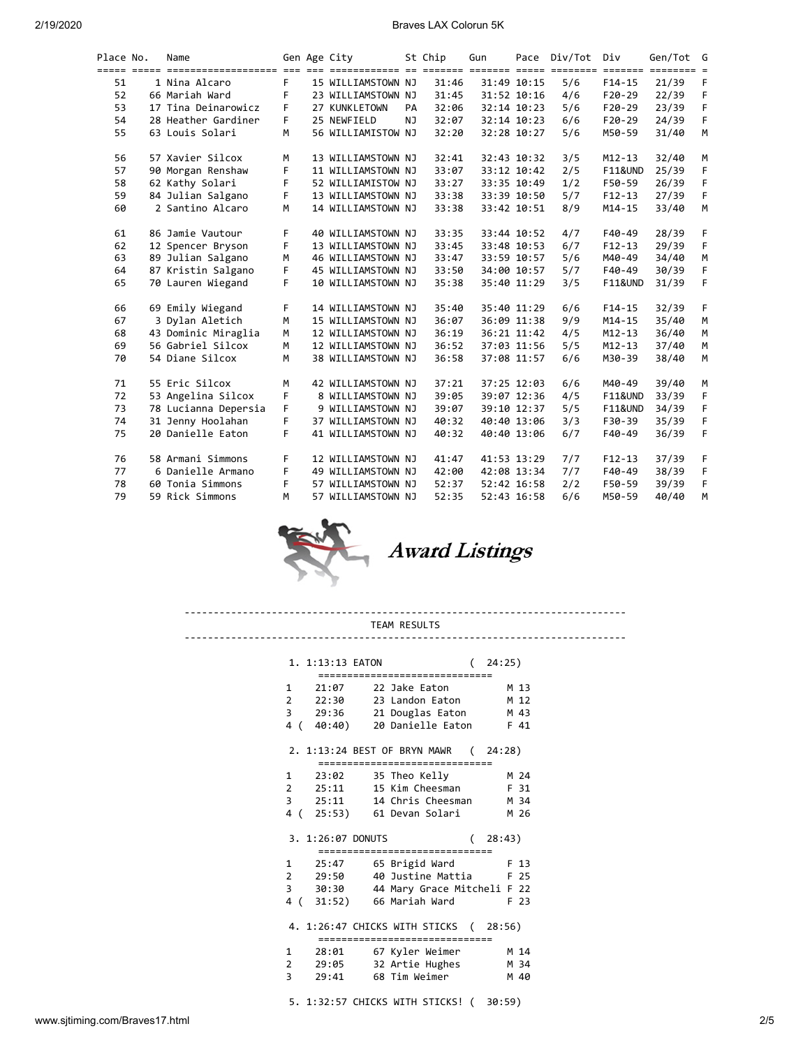| Place No. | Name                 |    | Gen Age City       |     | St Chip | Gun |             | Pace Div/Tot | Div                                 | Gen/Tot G                            |          |
|-----------|----------------------|----|--------------------|-----|---------|-----|-------------|--------------|-------------------------------------|--------------------------------------|----------|
| 51        | 1 Nina Alcaro        | F  | 15 WILLIAMSTOWN NJ |     | 31:46   |     | 31:49 10:15 | 5/6          | $=$ $=$ $=$ $=$ $=$ $=$<br>$F14-15$ | $=$ $=$ $=$ $=$ $=$ $=$ $=$<br>21/39 | $=$<br>F |
| 52        | 66 Mariah Ward       | F  | 23 WILLIAMSTOWN NJ |     | 31:45   |     | 31:52 10:16 | 4/6          | $F20-29$                            | 22/39                                | F        |
| 53        | 17 Tina Deinarowicz  | F  | 27 KUNKLETOWN      | PA  | 32:06   |     | 32:14 10:23 | 5/6          | $F20-29$                            | 23/39                                | F        |
| 54        | 28 Heather Gardiner  | F. | 25 NEWFIELD        | NJ. | 32:07   |     | 32:14 10:23 | 6/6          | $F20-29$                            | 24/39                                | F        |
| 55        | 63 Louis Solari      | M  | 56 WILLIAMISTOW NJ |     | 32:20   |     | 32:28 10:27 | 5/6          | M50-59                              | 31/40                                | M        |
| 56        | 57 Xavier Silcox     | М  | 13 WILLIAMSTOWN NJ |     | 32:41   |     | 32:43 10:32 | 3/5          | $M12 - 13$                          | 32/40                                | М        |
| 57        | 90 Morgan Renshaw    | F  | 11 WILLIAMSTOWN NJ |     | 33:07   |     | 33:12 10:42 | 2/5          | <b>F11&amp;UND</b>                  | 25/39                                | F        |
| 58        | 62 Kathy Solari      | F  | 52 WILLIAMISTOW NJ |     | 33:27   |     | 33:35 10:49 | 1/2          | F50-59                              | 26/39                                | F        |
| 59        | 84 Julian Salgano    | F  | 13 WILLIAMSTOWN NJ |     | 33:38   |     | 33:39 10:50 | 5/7          | $F12 - 13$                          | 27/39                                | F        |
| 60        | 2 Santino Alcaro     | M  | 14 WILLIAMSTOWN NJ |     | 33:38   |     | 33:42 10:51 | 8/9          | $M14 - 15$                          | 33/40                                | M        |
| 61        | 86 Jamie Vautour     | F  | 40 WILLIAMSTOWN NJ |     | 33:35   |     | 33:44 10:52 | 4/7          | F40-49                              | 28/39                                | F        |
| 62        | 12 Spencer Bryson    | F  | 13 WILLIAMSTOWN NJ |     | 33:45   |     | 33:48 10:53 | 6/7          | $F12-13$                            | 29/39                                | F.       |
| 63        | 89 Julian Salgano    | м  | 46 WILLIAMSTOWN NJ |     | 33:47   |     | 33:59 10:57 | 5/6          | M40-49                              | 34/40                                | M        |
| 64        | 87 Kristin Salgano   | F. | 45 WILLIAMSTOWN NJ |     | 33:50   |     | 34:00 10:57 | 5/7          | F40-49                              | 30/39                                | F        |
| 65        | 70 Lauren Wiegand    | F. | 10 WILLIAMSTOWN NJ |     | 35:38   |     | 35:40 11:29 | 3/5          | <b>F11&amp;UND</b>                  | 31/39                                | F        |
| 66        | 69 Emily Wiegand     | F  | 14 WILLIAMSTOWN NJ |     | 35:40   |     | 35:40 11:29 | 6/6          | $F14-15$                            | 32/39                                | F        |
| 67        | 3 Dylan Aletich      | M  | 15 WILLIAMSTOWN NJ |     | 36:07   |     | 36:09 11:38 | 9/9          | $M14 - 15$                          | 35/40                                | M        |
| 68        | 43 Dominic Miraglia  | M  | 12 WILLIAMSTOWN NJ |     | 36:19   |     | 36:21 11:42 | 4/5          | $M12 - 13$                          | 36/40                                | M        |
| 69        | 56 Gabriel Silcox    | M  | 12 WILLIAMSTOWN NJ |     | 36:52   |     | 37:03 11:56 | 5/5          | $M12 - 13$                          | 37/40                                | M        |
| 70        | 54 Diane Silcox      | M  | 38 WILLIAMSTOWN NJ |     | 36:58   |     | 37:08 11:57 | 6/6          | M30-39                              | 38/40                                | M        |
| 71        | 55 Eric Silcox       | M  | 42 WILLIAMSTOWN NJ |     | 37:21   |     | 37:25 12:03 | 6/6          | M40-49                              | 39/40                                | М        |
| 72        | 53 Angelina Silcox   | F  | 8 WILLIAMSTOWN NJ  |     | 39:05   |     | 39:07 12:36 | 4/5          | <b>F11&amp;UND</b>                  | 33/39                                | F        |
| 73        | 78 Lucianna Depersia | F. | 9 WILLIAMSTOWN NJ  |     | 39:07   |     | 39:10 12:37 | 5/5          | <b>F11&amp;UND</b>                  | 34/39                                | F        |
| 74        | 31 Jenny Hoolahan    | F  | 37 WILLIAMSTOWN NJ |     | 40:32   |     | 40:40 13:06 | 3/3          | F30-39                              | 35/39                                | F        |
| 75        | 20 Danielle Eaton    | F. | 41 WILLIAMSTOWN NJ |     | 40:32   |     | 40:40 13:06 | 6/7          | F40-49                              | 36/39                                | F        |
| 76        | 58 Armani Simmons    | F  | 12 WILLIAMSTOWN NJ |     | 41:47   |     | 41:53 13:29 | 7/7          | $F12-13$                            | 37/39                                | F        |
| 77        | 6 Danielle Armano    | F  | 49 WILLIAMSTOWN NJ |     | 42:00   |     | 42:08 13:34 | 7/7          | F40-49                              | 38/39                                | F        |
| 78        | 60 Tonia Simmons     | F  | 57 WILLIAMSTOWN NJ |     | 52:37   |     | 52:42 16:58 | 2/2          | F50-59                              | 39/39                                | F        |
| 79        | 59 Rick Simmons      | м  | 57 WILLIAMSTOWN NJ |     | 52:35   |     | 52:43 16:58 | 6/6          | M50-59                              | 40/40                                | M        |



---------------------------------------------------------------------------- TEAM RESULTS

| 1. 1:13:13 EATON         |                                       | 24:25)       |
|--------------------------|---------------------------------------|--------------|
| =============            |                                       |              |
|                          | 1 21:07 22 Jake Eaton                 | M 13         |
| 2 22:30                  | 23 Landon Eaton                       | M 12         |
| 3<br>29:36               | 21 Douglas Eaton                      | M 43         |
| 4<br>(40:40)             | 20 Danielle Eaton                     | F 41         |
|                          | 2. 1:13:24 BEST OF BRYN MAWR (24:28)  |              |
|                          | ================================      |              |
| $\mathbf{1}$<br>23:02    | 35 Theo Kelly                         | M 24         |
| $2 \t 25:11$             | 15 Kim Cheesman                       | F 31         |
| $3 \t 25:11$             | 14 Chris Cheesman                     | M 34         |
| 4 (                      | 25:53) 61 Devan Solari                | M 26         |
|                          |                                       |              |
| 3. 1:26:07 DONUTS        |                                       | (28:43)      |
|                          | ================<br>==============    |              |
| 1<br>25:47               | 65 Brigid Ward                        | F 13         |
| 2 29:50                  | 40 Justine Mattia                     | F 25         |
| 3<br>30:30               | 44 Mary Grace Mitcheli F 22           |              |
| 4 (                      | 31:52) 66 Mariah Ward                 | F 23         |
|                          | 4. 1:26:47 CHICKS WITH STICKS (28:56) |              |
|                          | ================================      |              |
| 1<br>28:01               | 67 Kyler Weimer                       | M 14         |
| 2<br>29:05<br>3<br>29:41 | 32 Artie Hughes<br>68 Tim Weimer      | M 34<br>M 40 |

5. 1:32:57 CHICKS WITH STICKS! ( 30:59)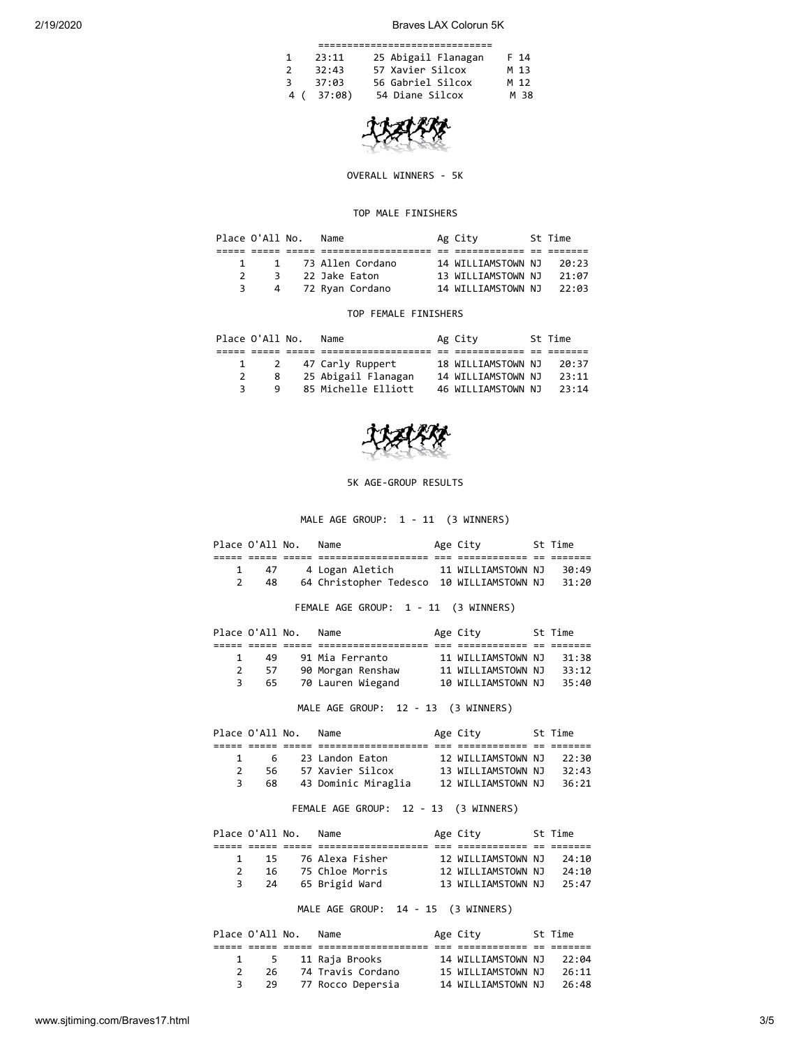|               | 23:11  | 25 Abigail Flanagan | F 14 |  |  |  |  |  |  |  |
|---------------|--------|---------------------|------|--|--|--|--|--|--|--|
| $\mathcal{P}$ | 32:43  | 57 Xavier Silcox    | M 13 |  |  |  |  |  |  |  |
| ₹             | 37:03  | 56 Gabriel Silcox   | M 12 |  |  |  |  |  |  |  |
| 4 (           | 37:08) | 54 Diane Silcox     | M 38 |  |  |  |  |  |  |  |

OVERALL WINNERS - 5K

## TOP MALE FINISHERS

| Place O'All No. | Name               | Ag City            | St Time |
|-----------------|--------------------|--------------------|---------|
|                 |                    |                    |         |
|                 | 1 73 Allen Cordano | 14 WILLIAMSTOWN NJ | 20:23   |
| 3               | 22 Jake Eaton      | 13 WILLIAMSTOWN NJ | 21:07   |
| 4               | 72 Ryan Cordano    | 14 WILLIAMSTOWN NJ | 22:03   |

## TOP FEMALE FINISHERS

|  | Place O'All No. | Name                | Ag City            | St Time |
|--|-----------------|---------------------|--------------------|---------|
|  |                 |                     |                    |         |
|  | 2               | 47 Carly Ruppert    | 18 WILLIAMSTOWN NJ | 20:37   |
|  | 8               | 25 Abigail Flanagan | 14 WILLIAMSTOWN NJ | 23:11   |
|  | q               | 85 Michelle Elliott | 46 WILLIAMSTOWN NJ | 23:14   |



5K AGE-GROUP RESULTS

MALE AGE GROUP: 1 - 11 (3 WINNERS)

|                |                                     | Place O'All No.      | Name                                                |  | Age City 5t Time |  |       |  |  |  |  |
|----------------|-------------------------------------|----------------------|-----------------------------------------------------|--|------------------|--|-------|--|--|--|--|
|                |                                     |                      |                                                     |  |                  |  |       |  |  |  |  |
|                | 47<br>$\mathbf{1}$                  |                      |                                                     |  |                  |  | 30:49 |  |  |  |  |
|                | $2^{\sim}$                          |                      | 48 64 Christopher Tedesco 10 WILLIAMSTOWN NJ 31:20  |  |                  |  |       |  |  |  |  |
|                |                                     |                      | FEMALE AGE GROUP: 1 - 11 (3 WINNERS)                |  |                  |  |       |  |  |  |  |
|                |                                     |                      |                                                     |  |                  |  |       |  |  |  |  |
|                |                                     | Place O'All No. Name |                                                     |  | Age City 5t Time |  |       |  |  |  |  |
|                |                                     |                      |                                                     |  |                  |  |       |  |  |  |  |
| $\mathbf{1}$   | 49                                  |                      |                                                     |  |                  |  | 31:38 |  |  |  |  |
| $\overline{2}$ |                                     |                      | 57 90 Morgan Renshaw 11 WILLIAMSTOWN NJ 33:12       |  |                  |  |       |  |  |  |  |
|                |                                     |                      | 3 65 70 Lauren Wiegand 10 WILLIAMSTOWN NJ           |  |                  |  | 35:40 |  |  |  |  |
|                | MALE AGE GROUP: 12 - 13 (3 WINNERS) |                      |                                                     |  |                  |  |       |  |  |  |  |
|                |                                     |                      |                                                     |  |                  |  |       |  |  |  |  |
|                |                                     |                      | Place O'All No. Name and Age City 5t Time           |  |                  |  |       |  |  |  |  |
|                |                                     |                      |                                                     |  |                  |  |       |  |  |  |  |
| $\mathbf{1}$   | $\overline{6}$                      |                      | 23 Landon Eaton 12 WILLIAMSTOWN NJ                  |  |                  |  | 22:30 |  |  |  |  |
| $\overline{2}$ |                                     |                      | 56 57 Xavier Silcox 13 WILLIAMSTOWN NJ 32:43        |  |                  |  |       |  |  |  |  |
|                | $3^{\circ}$                         |                      | 68 43 Dominic Miraglia 12 WILLIAMSTOWN NJ           |  |                  |  | 36:21 |  |  |  |  |
|                |                                     |                      | FEMALE AGE GROUP: 12 - 13 (3 WINNERS)               |  |                  |  |       |  |  |  |  |
|                |                                     |                      |                                                     |  |                  |  |       |  |  |  |  |
|                |                                     |                      | Place O'All No. Name                                |  | Age City 5t Time |  |       |  |  |  |  |
|                |                                     |                      |                                                     |  |                  |  |       |  |  |  |  |
|                |                                     |                      | 1 15 76 Alexa Fisher 12 WILLIAMSTOWN NJ             |  |                  |  | 24:10 |  |  |  |  |
|                |                                     |                      | 2 16 75 Chloe Morris 12 WILLIAMSTOWN NJ             |  |                  |  | 24:10 |  |  |  |  |
|                | $\overline{3}$<br>24                |                      | 65 Brigid Ward                   13 WILLIAMSTOWN NJ |  |                  |  | 25:47 |  |  |  |  |
|                |                                     |                      | MALE AGE GROUP: 14 - 15 (3 WINNERS)                 |  |                  |  |       |  |  |  |  |
|                |                                     |                      |                                                     |  |                  |  |       |  |  |  |  |
|                |                                     | Place O'All No. Name | Age City 5t Time                                    |  |                  |  |       |  |  |  |  |
|                |                                     |                      |                                                     |  |                  |  |       |  |  |  |  |
| $\mathbf{1}$   | 5                                   |                      | 11 Raja Brooks 14 WILLIAMSTOWN NJ                   |  |                  |  | 22:04 |  |  |  |  |

 2 26 74 Travis Cordano 15 WILLIAMSTOWN NJ 26:11 3 29 77 Rocco Depersia 14 WILLIAMSTOWN NJ 26:48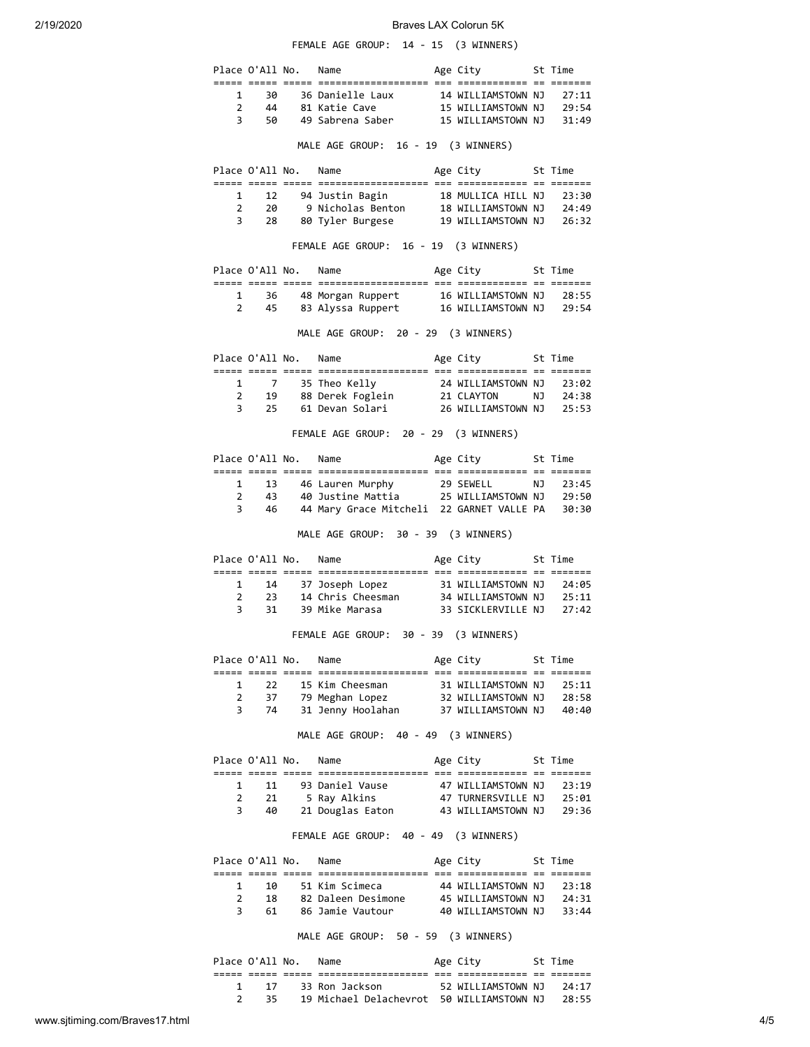FEMALE AGE GROUP: 14 - 15 (3 WINNERS)

|                                     | Place O'All No.                |                      | Name                                                                                             |  | Age City 5t Time              |  |         |  |  |  |
|-------------------------------------|--------------------------------|----------------------|--------------------------------------------------------------------------------------------------|--|-------------------------------|--|---------|--|--|--|
|                                     |                                |                      |                                                                                                  |  |                               |  |         |  |  |  |
| $\mathbf{1}$                        | 30                             |                      |                                                                                                  |  |                               |  |         |  |  |  |
| $\mathbf{2}$                        | - 44<br>3 50                   |                      |                                                                                                  |  |                               |  |         |  |  |  |
|                                     |                                |                      |                                                                                                  |  |                               |  |         |  |  |  |
|                                     |                                |                      | MALE AGE GROUP: 16 - 19 (3 WINNERS)                                                              |  |                               |  |         |  |  |  |
|                                     |                                |                      | Place O'All No. Name                                                                             |  | Age City              St Time |  |         |  |  |  |
|                                     |                                |                      |                                                                                                  |  |                               |  |         |  |  |  |
|                                     |                                |                      | 1 12 94 Justin Bagin 18 MULLICA HILL NJ 23:30<br>2 20 9 Nicholas Benton 18 WILLIAMSTOWN NJ 24:49 |  |                               |  |         |  |  |  |
|                                     | $3^{\circ}$<br>28              |                      | 80 Tyler Burgese         19 WILLIAMSTOWN NJ    26:32                                             |  |                               |  |         |  |  |  |
|                                     |                                |                      |                                                                                                  |  |                               |  |         |  |  |  |
|                                     |                                |                      | FEMALE AGE GROUP: 16 - 19 (3 WINNERS)                                                            |  |                               |  |         |  |  |  |
|                                     |                                |                      | Place O'All No. Name                                                                             |  | Age City 5t Time              |  |         |  |  |  |
|                                     | $1 \quad$                      |                      | 36 48 Morgan Ruppert 16 WILLIAMSTOWN NJ 28:55                                                    |  |                               |  |         |  |  |  |
|                                     | $2 \left( \frac{1}{2} \right)$ |                      | 45 83 Alyssa Ruppert 16 WILLIAMSTOWN NJ 29:54                                                    |  |                               |  |         |  |  |  |
| MALE AGE GROUP: 20 - 29 (3 WINNERS) |                                |                      |                                                                                                  |  |                               |  |         |  |  |  |
|                                     |                                |                      | Place O'All No. Name                                                                             |  | Age City 5t Time              |  |         |  |  |  |
|                                     |                                |                      |                                                                                                  |  |                               |  |         |  |  |  |
|                                     |                                |                      |                                                                                                  |  |                               |  |         |  |  |  |
|                                     |                                |                      |                                                                                                  |  |                               |  |         |  |  |  |
|                                     |                                |                      |                                                                                                  |  |                               |  |         |  |  |  |
|                                     |                                |                      | FEMALE AGE GROUP: 20 - 29 (3 WINNERS)                                                            |  |                               |  |         |  |  |  |
|                                     |                                |                      | Place O'All No. Name Mage City 5t Time                                                           |  |                               |  |         |  |  |  |
|                                     |                                |                      |                                                                                                  |  |                               |  |         |  |  |  |
| $\mathbf{2}$                        | $1\quad$<br>43                 |                      | 13 46 Lauren Murphy 29 SEWELL NJ 23:45<br>43 40 Justine Mattia 25 WILLIAMSTOWN NJ 29:50          |  |                               |  |         |  |  |  |
|                                     | $3^{\circ}$<br>46              |                      | 44 Mary Grace Mitcheli 22 GARNET VALLE PA 30:30                                                  |  |                               |  |         |  |  |  |
| MALE AGE GROUP: 30 - 39 (3 WINNERS) |                                |                      |                                                                                                  |  |                               |  |         |  |  |  |
|                                     |                                |                      | Place O'All No. Name                                                                             |  | Age City 5t Time              |  |         |  |  |  |
|                                     |                                |                      |                                                                                                  |  |                               |  |         |  |  |  |
|                                     |                                |                      | 1 14 37 Joseph Lopez 31 WILLIAMSTOWN NJ 24:05<br>2 23 14 Chris Cheesman 34 WILLIAMSTOWN NJ 25:11 |  |                               |  |         |  |  |  |
|                                     | $3^{\circ}$<br>31              |                      | 39 Mike Marasa 33 SICKLERVILLE NJ 27:42                                                          |  |                               |  |         |  |  |  |
|                                     |                                |                      | FEMALE AGE GROUP: 30 - 39 (3 WINNERS)                                                            |  |                               |  |         |  |  |  |
|                                     | Place O'All No.                |                      | Name                                                                                             |  | Age City                      |  | St Time |  |  |  |
|                                     |                                |                      | 15 Kim Cheesman                                                                                  |  | 31 WILLIAMSTOWN NJ            |  |         |  |  |  |
| 1<br>$\overline{2}$                 | 22                             |                      |                                                                                                  |  |                               |  | 25:11   |  |  |  |
| 3                                   |                                |                      | 37 79 Meghan Lopez 32 WILLIAMSTOWN NJ 28:58<br>74 31 Jenny Hoolahan 37 WILLIAMSTOWN NJ 40:40     |  |                               |  |         |  |  |  |
|                                     |                                |                      | MALE AGE GROUP: 40 - 49 (3 WINNERS)                                                              |  |                               |  |         |  |  |  |
|                                     |                                | Place O'All No. Name |                                                                                                  |  | Age City 5t Time              |  |         |  |  |  |
| $\mathbf{1}$                        |                                |                      | score cosos cosos concentracententente que concentrante no actore                                |  |                               |  | 23:19   |  |  |  |
| $\mathbf{2}$                        |                                |                      | 11 93 Daniel Vause 47 WILLIAMSTOWN NJ<br>21 5 Ray Alkins 47 TURNERSVILLE NJ                      |  |                               |  | 25:01   |  |  |  |
| 3                                   |                                | 40                   | 21 Douglas Eaton 43 WILLIAMSTOWN NJ 29:36                                                        |  |                               |  |         |  |  |  |
|                                     |                                |                      | FEMALE AGE GROUP: 40 - 49 (3 WINNERS)                                                            |  |                               |  |         |  |  |  |
|                                     |                                | Place O'All No. Name |                                                                                                  |  | Age City                      |  | St Time |  |  |  |
|                                     |                                |                      |                                                                                                  |  |                               |  |         |  |  |  |
| 1                                   | 10                             |                      | 51 Kim Scimeca<br>18 82 Daleen Desimone 45 WILLIAMSTOWN NJ 24:31                                 |  | 44 WILLIAMSTOWN NJ            |  | 23:18   |  |  |  |
| $\mathbf{2}$<br>3                   | 61                             |                      | 86 Jamie Vautour                                                                                 |  | 40 WILLIAMSTOWN NJ            |  | 33:44   |  |  |  |
|                                     |                                |                      | MALE AGE GROUP: 50 - 59 (3 WINNERS)                                                              |  |                               |  |         |  |  |  |
|                                     |                                | Place O'All No. Name |                                                                                                  |  | Age City 5t Time              |  |         |  |  |  |
|                                     |                                |                      |                                                                                                  |  |                               |  |         |  |  |  |
|                                     |                                |                      | 1 17 33 Ron Jackson 52 WILLIAMSTOWN NJ 24:17                                                     |  |                               |  |         |  |  |  |

2 35 19 Michael Delachevrot 50 WILLIAMSTOWN NJ 28:55